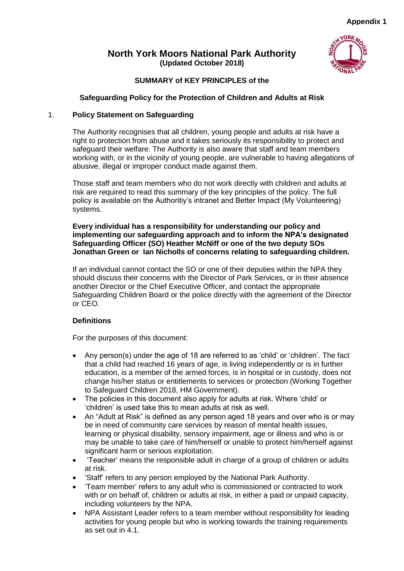# **North York Moors National Park Authority (Updated October 2018)**



# **SUMMARY of KEY PRINCIPLES of the**

# **Safeguarding Policy for the Protection of Children and Adults at Risk**

# 1. **Policy Statement on Safeguarding**

The Authority recognises that all children, young people and adults at risk have a right to protection from abuse and it takes seriously its responsibility to protect and safeguard their welfare. The Authority is also aware that staff and team members working with, or in the vicinity of young people, are vulnerable to having allegations of abusive, illegal or improper conduct made against them.

Those staff and team members who do not work directly with children and adults at risk are required to read this summary of the key principles of the policy. The full policy is available on the Authoritiy's intranet and Better Impact (My Volunteering) systems.

# **Every individual has a responsibility for understanding our policy and implementing our safeguarding approach and to inform the NPA's designated Safeguarding Officer (SO) Heather McNiff or one of the two deputy SOs Jonathan Green or Ian Nicholls of concerns relating to safeguarding children.**

If an individual cannot contact the SO or one of their deputies within the NPA they should discuss their concerns with the Director of Park Services, or in their absence another Director or the Chief Executive Officer, and contact the appropriate Safeguarding Children Board or the police directly with the agreement of the Director or CEO.

# **Definitions**

For the purposes of this document:

- Any person(s) under the age of 18 are referred to as 'child' or 'children'. The fact that a child had reached 16 years of age, is living independently or is in further education, is a member of the armed forces, is in hospital or in custody, does not change his/her status or entitlements to services or protection (Working Together to Safeguard Children 2018, HM Government).
- The policies in this document also apply for adults at risk. Where 'child' or 'children' is used take this to mean adults at risk as well.
- An "Adult at Risk" is defined as any person aged 18 years and over who is or may be in need of community care services by reason of mental health issues, learning or physical disability, sensory impairment, age or illness and who is or may be unable to take care of him/herself or unable to protect him/herself against significant harm or serious exploitation.
- 'Teacher' means the responsible adult in charge of a group of children or adults at risk.
- 'Staff' refers to any person employed by the National Park Authority.
- 'Team member' refers to any adult who is commissioned or contracted to work with or on behalf of, children or adults at risk, in either a paid or unpaid capacity, including volunteers by the NPA.
- NPA Assistant Leader refers to a team member without responsibility for leading activities for young people but who is working towards the training requirements as set out in 4.1.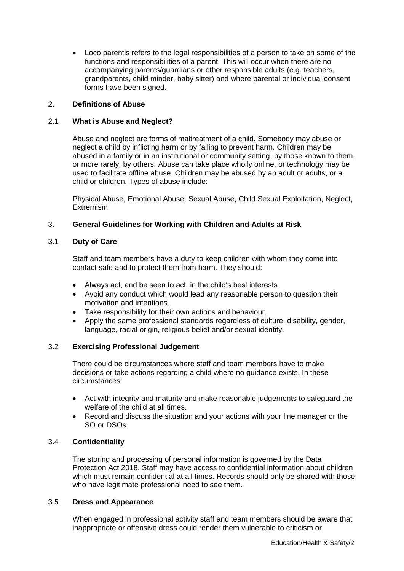Loco parentis refers to the legal responsibilities of a person to take on some of the functions and responsibilities of a parent. This will occur when there are no accompanying parents/guardians or other responsible adults (e.g. teachers, grandparents, child minder, baby sitter) and where parental or individual consent forms have been signed.

# 2. **Definitions of Abuse**

# 2.1 **What is Abuse and Neglect?**

Abuse and neglect are forms of maltreatment of a child. Somebody may abuse or neglect a child by inflicting harm or by failing to prevent harm. Children may be abused in a family or in an institutional or community setting, by those known to them, or more rarely, by others. Abuse can take place wholly online, or technology may be used to facilitate offline abuse. Children may be abused by an adult or adults, or a child or children. Types of abuse include:

Physical Abuse, Emotional Abuse, Sexual Abuse, Child Sexual Exploitation, Neglect, Extremism

# 3. **General Guidelines for Working with Children and Adults at Risk**

# 3.1 **Duty of Care**

Staff and team members have a duty to keep children with whom they come into contact safe and to protect them from harm. They should:

- Always act, and be seen to act, in the child's best interests.
- Avoid any conduct which would lead any reasonable person to question their motivation and intentions.
- Take responsibility for their own actions and behaviour.
- Apply the same professional standards regardless of culture, disability, gender, language, racial origin, religious belief and/or sexual identity.

# 3.2 **Exercising Professional Judgement**

There could be circumstances where staff and team members have to make decisions or take actions regarding a child where no guidance exists. In these circumstances:

- Act with integrity and maturity and make reasonable judgements to safeguard the welfare of the child at all times.
- Record and discuss the situation and your actions with your line manager or the SO or DSOs.

# 3.4 **Confidentiality**

The storing and processing of personal information is governed by the Data Protection Act 2018. Staff may have access to confidential information about children which must remain confidential at all times. Records should only be shared with those who have legitimate professional need to see them.

# 3.5 **Dress and Appearance**

When engaged in professional activity staff and team members should be aware that inappropriate or offensive dress could render them vulnerable to criticism or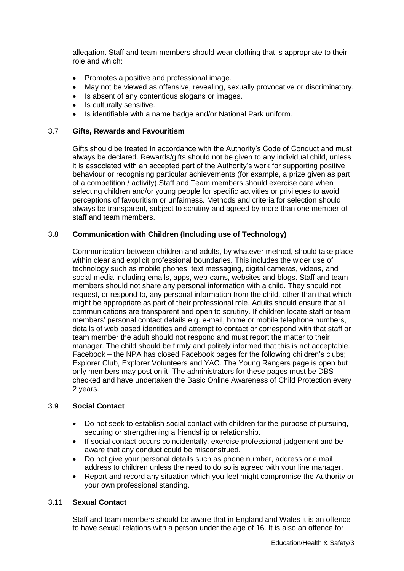allegation. Staff and team members should wear clothing that is appropriate to their role and which:

- Promotes a positive and professional image.
- May not be viewed as offensive, revealing, sexually provocative or discriminatory.
- Is absent of any contentious slogans or images.
- Is culturally sensitive.
- Is identifiable with a name badge and/or National Park uniform.

### 3.7 **Gifts, Rewards and Favouritism**

Gifts should be treated in accordance with the Authority's Code of Conduct and must always be declared. Rewards/gifts should not be given to any individual child, unless it is associated with an accepted part of the Authority's work for supporting positive behaviour or recognising particular achievements (for example, a prize given as part of a competition / activity).Staff and Team members should exercise care when selecting children and/or young people for specific activities or privileges to avoid perceptions of favouritism or unfairness. Methods and criteria for selection should always be transparent, subject to scrutiny and agreed by more than one member of staff and team members.

# 3.8 **Communication with Children (Including use of Technology)**

Communication between children and adults, by whatever method, should take place within clear and explicit professional boundaries. This includes the wider use of technology such as mobile phones, text messaging, digital cameras, videos, and social media including emails, apps, web-cams, websites and blogs. Staff and team members should not share any personal information with a child. They should not request, or respond to, any personal information from the child, other than that which might be appropriate as part of their professional role. Adults should ensure that all communications are transparent and open to scrutiny. If children locate staff or team members' personal contact details e.g. e-mail, home or mobile telephone numbers, details of web based identities and attempt to contact or correspond with that staff or team member the adult should not respond and must report the matter to their manager. The child should be firmly and politely informed that this is not acceptable. Facebook – the NPA has closed Facebook pages for the following children's clubs; Explorer Club, Explorer Volunteers and YAC. The Young Rangers page is open but only members may post on it. The administrators for these pages must be DBS checked and have undertaken the Basic Online Awareness of Child Protection every 2 years.

# 3.9 **Social Contact**

- Do not seek to establish social contact with children for the purpose of pursuing, securing or strengthening a friendship or relationship.
- If social contact occurs coincidentally, exercise professional judgement and be aware that any conduct could be misconstrued.
- Do not give your personal details such as phone number, address or e mail address to children unless the need to do so is agreed with your line manager.
- Report and record any situation which you feel might compromise the Authority or your own professional standing.

# 3.11 **Sexual Contact**

Staff and team members should be aware that in England and Wales it is an offence to have sexual relations with a person under the age of 16. It is also an offence for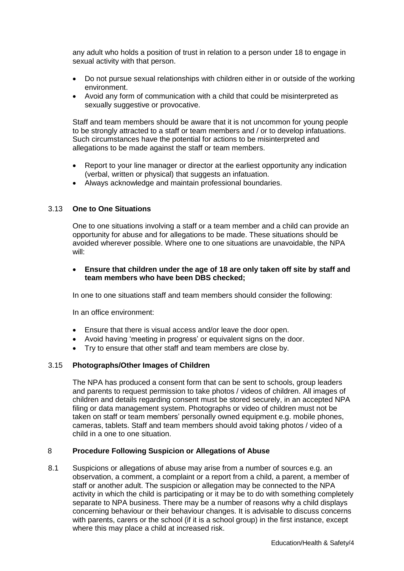any adult who holds a position of trust in relation to a person under 18 to engage in sexual activity with that person.

- Do not pursue sexual relationships with children either in or outside of the working environment.
- Avoid any form of communication with a child that could be misinterpreted as sexually suggestive or provocative.

Staff and team members should be aware that it is not uncommon for young people to be strongly attracted to a staff or team members and / or to develop infatuations. Such circumstances have the potential for actions to be misinterpreted and allegations to be made against the staff or team members.

- Report to your line manager or director at the earliest opportunity any indication (verbal, written or physical) that suggests an infatuation.
- Always acknowledge and maintain professional boundaries.

# 3.13 **One to One Situations**

One to one situations involving a staff or a team member and a child can provide an opportunity for abuse and for allegations to be made. These situations should be avoided wherever possible. Where one to one situations are unavoidable, the NPA will:

### **Ensure that children under the age of 18 are only taken off site by staff and team members who have been DBS checked;**

In one to one situations staff and team members should consider the following:

In an office environment:

- Ensure that there is visual access and/or leave the door open.
- Avoid having 'meeting in progress' or equivalent signs on the door.
- Try to ensure that other staff and team members are close by.

# 3.15 **Photographs/Other Images of Children**

The NPA has produced a consent form that can be sent to schools, group leaders and parents to request permission to take photos / videos of children. All images of children and details regarding consent must be stored securely, in an accepted NPA filing or data management system. Photographs or video of children must not be taken on staff or team members' personally owned equipment e.g. mobile phones, cameras, tablets. Staff and team members should avoid taking photos / video of a child in a one to one situation.

#### 8 **Procedure Following Suspicion or Allegations of Abuse**

8.1 Suspicions or allegations of abuse may arise from a number of sources e.g. an observation, a comment, a complaint or a report from a child, a parent, a member of staff or another adult. The suspicion or allegation may be connected to the NPA activity in which the child is participating or it may be to do with something completely separate to NPA business. There may be a number of reasons why a child displays concerning behaviour or their behaviour changes. It is advisable to discuss concerns with parents, carers or the school (if it is a school group) in the first instance, except where this may place a child at increased risk.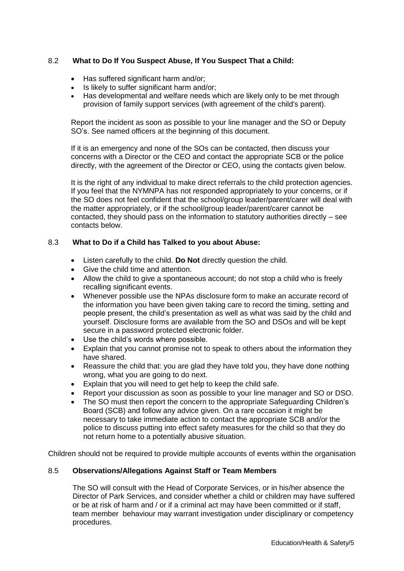# 8.2 **What to Do If You Suspect Abuse, If You Suspect That a Child:**

- Has suffered significant harm and/or;
- Is likely to suffer significant harm and/or:
- Has developmental and welfare needs which are likely only to be met through provision of family support services (with agreement of the child's parent).

Report the incident as soon as possible to your line manager and the SO or Deputy SO's. See named officers at the beginning of this document.

If it is an emergency and none of the SOs can be contacted, then discuss your concerns with a Director or the CEO and contact the appropriate SCB or the police directly, with the agreement of the Director or CEO, using the contacts given below.

It is the right of any individual to make direct referrals to the child protection agencies. If you feel that the NYMNPA has not responded appropriately to your concerns, or if the SO does not feel confident that the school/group leader/parent/carer will deal with the matter appropriately, or if the school/group leader/parent/carer cannot be contacted, they should pass on the information to statutory authorities directly – see contacts below.

#### 8.3 **What to Do if a Child has Talked to you about Abuse:**

- Listen carefully to the child. **Do Not** directly question the child.
- Give the child time and attention.
- Allow the child to give a spontaneous account; do not stop a child who is freely recalling significant events.
- Whenever possible use the NPAs disclosure form to make an accurate record of the information you have been given taking care to record the timing, setting and people present, the child's presentation as well as what was said by the child and yourself. Disclosure forms are available from the SO and DSOs and will be kept secure in a password protected electronic folder.
- Use the child's words where possible.
- Explain that you cannot promise not to speak to others about the information they have shared.
- Reassure the child that: you are glad they have told you, they have done nothing wrong, what you are going to do next.
- Explain that you will need to get help to keep the child safe.
- Report your discussion as soon as possible to your line manager and SO or DSO.
- The SO must then report the concern to the appropriate Safeguarding Children's Board (SCB) and follow any advice given. On a rare occasion it might be necessary to take immediate action to contact the appropriate SCB and/or the police to discuss putting into effect safety measures for the child so that they do not return home to a potentially abusive situation.

Children should not be required to provide multiple accounts of events within the organisation

# 8.5 **Observations/Allegations Against Staff or Team Members**

The SO will consult with the Head of Corporate Services, or in his/her absence the Director of Park Services, and consider whether a child or children may have suffered or be at risk of harm and / or if a criminal act may have been committed or if staff, team member behaviour may warrant investigation under disciplinary or competency procedures.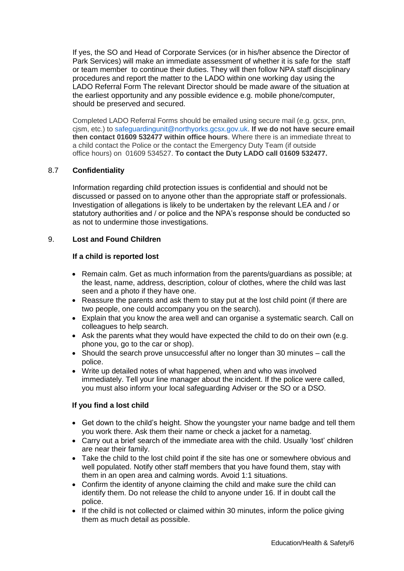If yes, the SO and Head of Corporate Services (or in his/her absence the Director of Park Services) will make an immediate assessment of whether it is safe for the staff or team member to continue their duties. They will then follow NPA staff disciplinary procedures and report the matter to the LADO within one working day using the LADO Referral Form The relevant Director should be made aware of the situation at the earliest opportunity and any possible evidence e.g. mobile phone/computer, should be preserved and secured.

Completed LADO Referral Forms should be emailed using secure mail (e.g. gcsx, pnn, cjsm, etc.) to [safeguardingunit@northyorks.gcsx.gov.uk.](mailto:safeguardingunit@northyorks.gcsx.gov.uk) **If we do not have secure email then contact 01609 532477 within office hours**. Where there is an immediate threat to a child contact the Police or the contact the Emergency Duty Team (if outside office hours) on 01609 534527. **To contact the Duty LADO call 01609 532477.**

# 8.7 **Confidentiality**

Information regarding child protection issues is confidential and should not be discussed or passed on to anyone other than the appropriate staff or professionals. Investigation of allegations is likely to be undertaken by the relevant LEA and / or statutory authorities and / or police and the NPA's response should be conducted so as not to undermine those investigations.

# 9. **Lost and Found Children**

#### **If a child is reported lost**

- Remain calm. Get as much information from the parents/guardians as possible; at the least, name, address, description, colour of clothes, where the child was last seen and a photo if they have one.
- Reassure the parents and ask them to stay put at the lost child point (if there are two people, one could accompany you on the search).
- Explain that you know the area well and can organise a systematic search. Call on colleagues to help search.
- Ask the parents what they would have expected the child to do on their own (e.g. phone you, go to the car or shop).
- Should the search prove unsuccessful after no longer than 30 minutes call the police.
- Write up detailed notes of what happened, when and who was involved immediately. Tell your line manager about the incident. If the police were called, you must also inform your local safeguarding Adviser or the SO or a DSO.

# **If you find a lost child**

- Get down to the child's height. Show the youngster your name badge and tell them you work there. Ask them their name or check a jacket for a nametag.
- Carry out a brief search of the immediate area with the child. Usually 'lost' children are near their family.
- Take the child to the lost child point if the site has one or somewhere obvious and well populated. Notify other staff members that you have found them, stay with them in an open area and calming words. Avoid 1:1 situations.
- Confirm the identity of anyone claiming the child and make sure the child can identify them. Do not release the child to anyone under 16. If in doubt call the police.
- If the child is not collected or claimed within 30 minutes, inform the police giving them as much detail as possible.